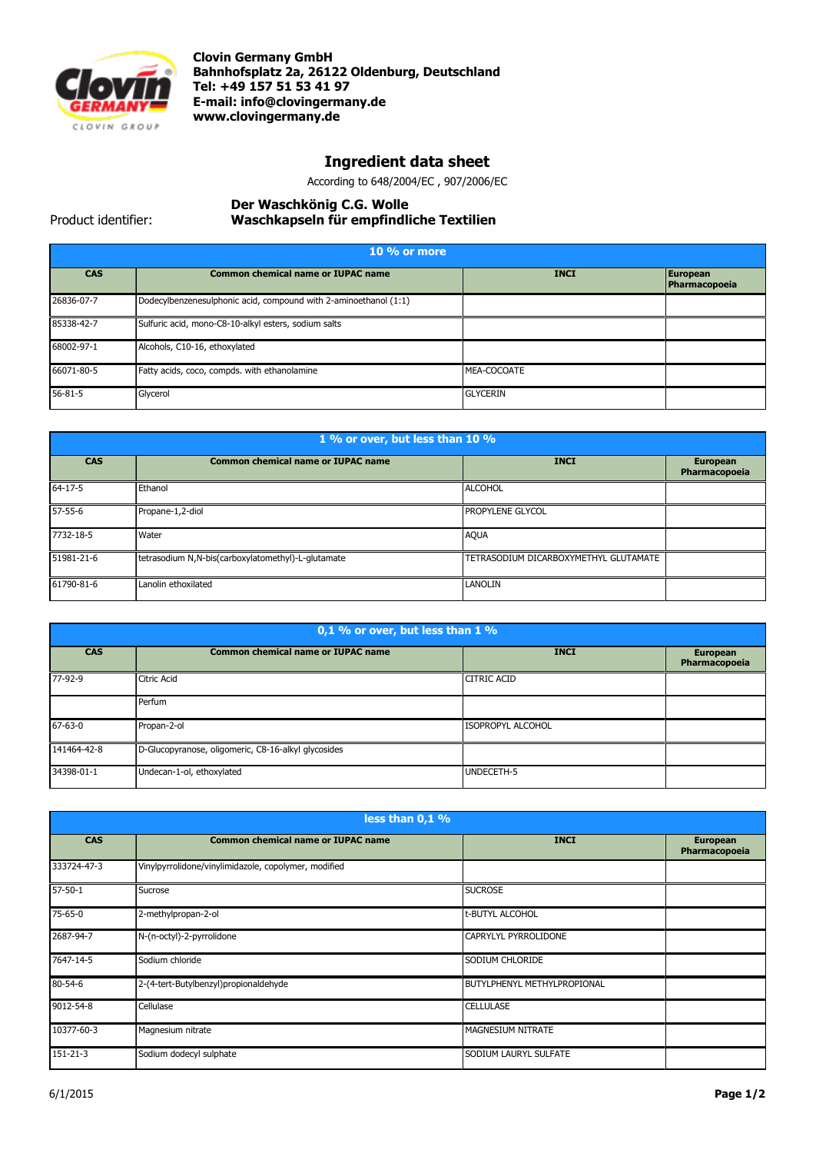

**Clovin Germany GmbH Bahnhofsplatz 2a, 26122 Oldenburg, Deutschland Tel: +49 157 51 53 41 97 E-mail[: info@clovingermany.de](mailto:info@clovingermany.de) www.clovingermany.de**

## **Ingredient data sheet**

According to 648/2004/EC , 907/2006/EC

## **Der Waschkӧnig C.G. Wolle Waschkapseln für empfindliche Textilien**

Product identifier:

| $10\%$ or more |                                                                  |                 |                           |
|----------------|------------------------------------------------------------------|-----------------|---------------------------|
| <b>CAS</b>     | <b>Common chemical name or IUPAC name</b>                        | <b>INCI</b>     | European<br>Pharmacopoeia |
| 26836-07-7     | Dodecylbenzenesulphonic acid, compound with 2-aminoethanol (1:1) |                 |                           |
| 85338-42-7     | Sulfuric acid, mono-C8-10-alkyl esters, sodium salts             |                 |                           |
| 68002-97-1     | Alcohols, C10-16, ethoxylated                                    |                 |                           |
| 66071-80-5     | Fatty acids, coco, compds. with ethanolamine                     | MEA-COCOATE     |                           |
| $56 - 81 - 5$  | Glycerol                                                         | <b>GLYCERIN</b> |                           |

| 1 % or over, but less than 10 % |                                                    |                                       |                                  |
|---------------------------------|----------------------------------------------------|---------------------------------------|----------------------------------|
| <b>CAS</b>                      | <b>Common chemical name or IUPAC name</b>          | <b>INCI</b>                           | <b>European</b><br>Pharmacopoeia |
| $64 - 17 - 5$                   | Ethanol                                            | <b>ALCOHOL</b>                        |                                  |
| $57 - 55 - 6$                   | Propane-1,2-diol                                   | <b>PROPYLENE GLYCOL</b>               |                                  |
| 7732-18-5                       | Water                                              | <b>AQUA</b>                           |                                  |
| 51981-21-6                      | tetrasodium N,N-bis(carboxylatomethyl)-L-glutamate | TETRASODIUM DICARBOXYMETHYL GLUTAMATE |                                  |
| 61790-81-6                      | Lanolin ethoxilated                                | <b>LANOLIN</b>                        |                                  |

| $0,1$ % or over, but less than 1 % |                                                     |                          |                                  |
|------------------------------------|-----------------------------------------------------|--------------------------|----------------------------------|
| <b>CAS</b>                         | <b>Common chemical name or IUPAC name</b>           | <b>INCI</b>              | <b>European</b><br>Pharmacopoeia |
| 77-92-9                            | Citric Acid                                         | <b>CITRIC ACID</b>       |                                  |
|                                    | Perfum                                              |                          |                                  |
| $67 - 63 - 0$                      | Propan-2-ol                                         | <b>ISOPROPYL ALCOHOL</b> |                                  |
| 141464-42-8                        | D-Glucopyranose, oligomeric, C8-16-alkyl glycosides |                          |                                  |
| 34398-01-1                         | Undecan-1-ol, ethoxylated                           | UNDECETH-5               |                                  |

| less than 0,1 % |                                                      |                                    |                                  |
|-----------------|------------------------------------------------------|------------------------------------|----------------------------------|
| <b>CAS</b>      | <b>Common chemical name or IUPAC name</b>            | <b>INCI</b>                        | <b>European</b><br>Pharmacopoeia |
| 333724-47-3     | Vinylpyrrolidone/vinylimidazole, copolymer, modified |                                    |                                  |
| $57-50-1$       | Sucrose                                              | <b>SUCROSE</b>                     |                                  |
| $75 - 65 - 0$   | 2-methylpropan-2-ol                                  | t-BUTYL ALCOHOL                    |                                  |
| 2687-94-7       | N-(n-octyl)-2-pyrrolidone                            | CAPRYLYL PYRROLIDONE               |                                  |
| 7647-14-5       | Sodium chloride                                      | SODIUM CHLORIDE                    |                                  |
| 80-54-6         | 2-(4-tert-Butylbenzyl)propionaldehyde                | <b>BUTYLPHENYL METHYLPROPIONAL</b> |                                  |
| 9012-54-8       | Cellulase                                            | <b>CELLULASE</b>                   |                                  |
| 10377-60-3      | Magnesium nitrate                                    | <b>MAGNESIUM NITRATE</b>           |                                  |
| 151-21-3        | Sodium dodecyl sulphate                              | SODIUM LAURYL SULFATE              |                                  |